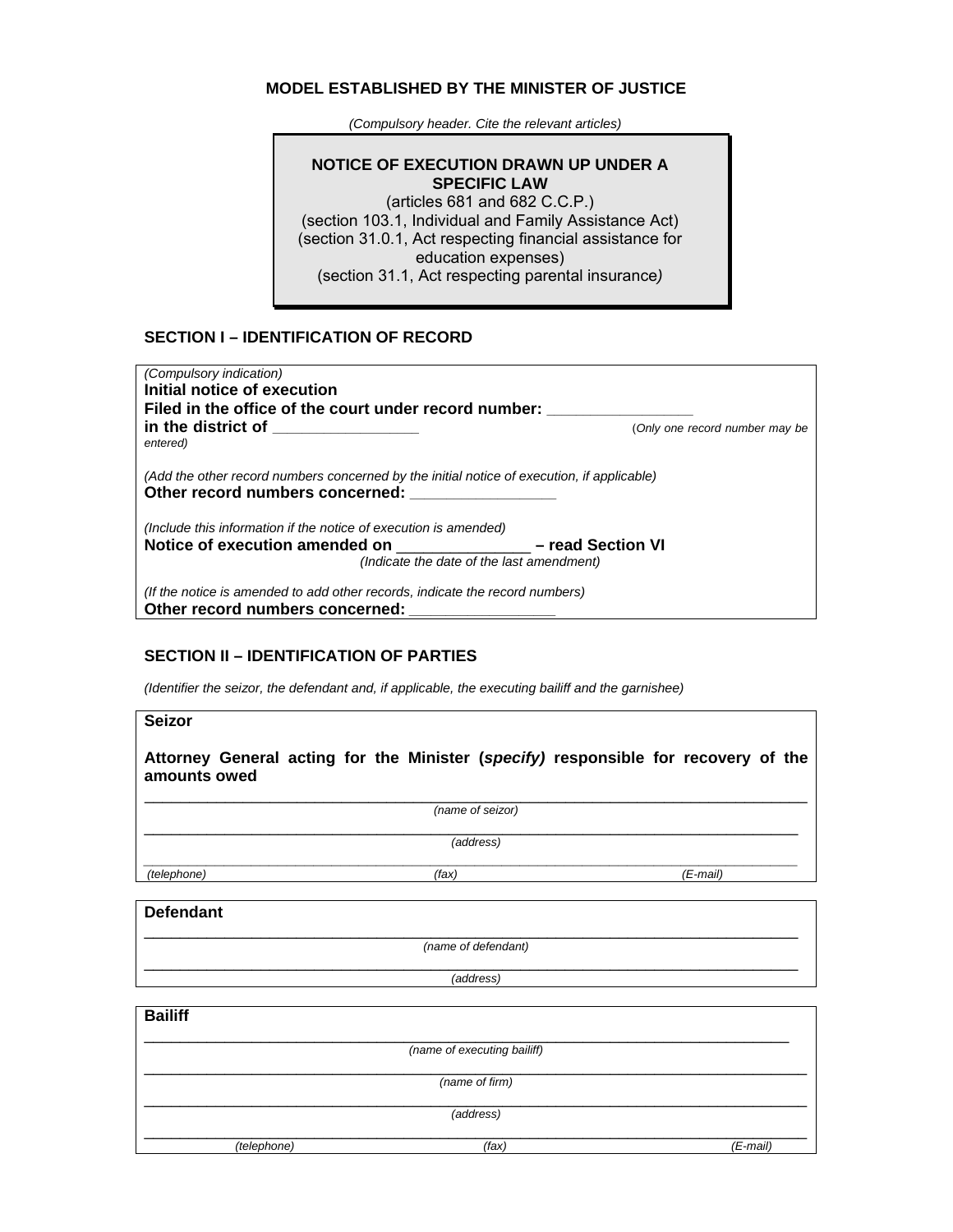#### **MODEL ESTABLISHED BY THE MINISTER OF JUSTICE**

 *(Compulsory header. Cite the relevant articles)*

# **NOTICE OF EXECUTION DRAWN UP UNDER A SPECIFIC LAW**

(articles 681 and 682 C.C.P.) (section 103.1, Individual and Family Assistance Act) (section 31.0.1, Act respecting financial assistance for education expenses) (section 31.1, Act respecting parental insurance*)* 

## **SECTION I – IDENTIFICATION OF RECORD**

| <i>(Compulsory indication)</i><br>Initial notice of execution<br>Filed in the office of the court under record number:        |                                |  |
|-------------------------------------------------------------------------------------------------------------------------------|--------------------------------|--|
| in the district of the control of the control of the control of the control of the control of the control of t<br>entered)    | (Only one record number may be |  |
| (Add the other record numbers concerned by the initial notice of execution, if applicable)<br>Other record numbers concerned: |                                |  |
| (Include this information if the notice of execution is amended)                                                              |                                |  |
| Notice of execution amended on<br>- read Section VI                                                                           |                                |  |
| (Indicate the date of the last amendment)                                                                                     |                                |  |
| (If the notice is amended to add other records, indicate the record numbers)<br>Other record numbers concerned:               |                                |  |

## **SECTION II – IDENTIFICATION OF PARTIES**

*(Identifier the seizor, the defendant and, if applicable, the executing bailiff and the garnishee)* 

**Seizor** 

**Attorney General acting for the Minister (***specify)* **responsible for recovery of the amounts owed** 

 $\mathcal{L}_\text{G} = \{ \mathcal{L}_\text{G} = \{ \mathcal{L}_\text{G} = \{ \mathcal{L}_\text{G} = \{ \mathcal{L}_\text{G} = \{ \mathcal{L}_\text{G} = \{ \mathcal{L}_\text{G} = \{ \mathcal{L}_\text{G} = \{ \mathcal{L}_\text{G} = \{ \mathcal{L}_\text{G} = \{ \mathcal{L}_\text{G} = \{ \mathcal{L}_\text{G} = \{ \mathcal{L}_\text{G} = \{ \mathcal{L}_\text{G} = \{ \mathcal{L}_\text{G} = \{ \mathcal{L}_\text{G$ *(name of seizor)*  $\mathcal{L}_\mathcal{L}$  , and the contribution of the contribution of the contribution of the contribution of the contribution of the contribution of the contribution of the contribution of the contribution of the contribution of

*(address)* 

*\_\_\_\_\_\_\_\_\_\_\_\_\_\_\_\_\_\_\_\_\_\_\_\_\_\_\_\_\_\_\_\_\_\_\_\_\_\_\_\_\_\_\_\_\_\_\_\_\_\_\_\_\_\_\_\_\_\_\_\_\_\_\_\_\_\_\_\_\_\_\_\_\_ (telephone) (fax) (E-mail)*

#### **Defendant**

\_\_\_\_\_\_\_\_\_\_\_\_\_\_\_\_\_\_\_\_\_\_\_\_\_\_\_\_\_\_\_\_\_\_\_\_\_\_\_\_\_\_\_\_\_\_\_\_\_\_\_\_\_\_\_\_\_\_\_\_\_\_\_\_\_\_\_\_\_\_\_\_\_ *(name of defendant)*

 $\mathcal{L}_\mathcal{L}$  , and the contribution of the contribution of the contribution of the contribution of the contribution of the contribution of the contribution of the contribution of the contribution of the contribution of *(address)* 

| <b>Bailiff</b> |             |                             |            |
|----------------|-------------|-----------------------------|------------|
|                |             | (name of executing bailiff) |            |
| (name of firm) |             |                             |            |
| (address)      |             |                             |            |
|                | (telephone) | (fax)                       | $(E-mail)$ |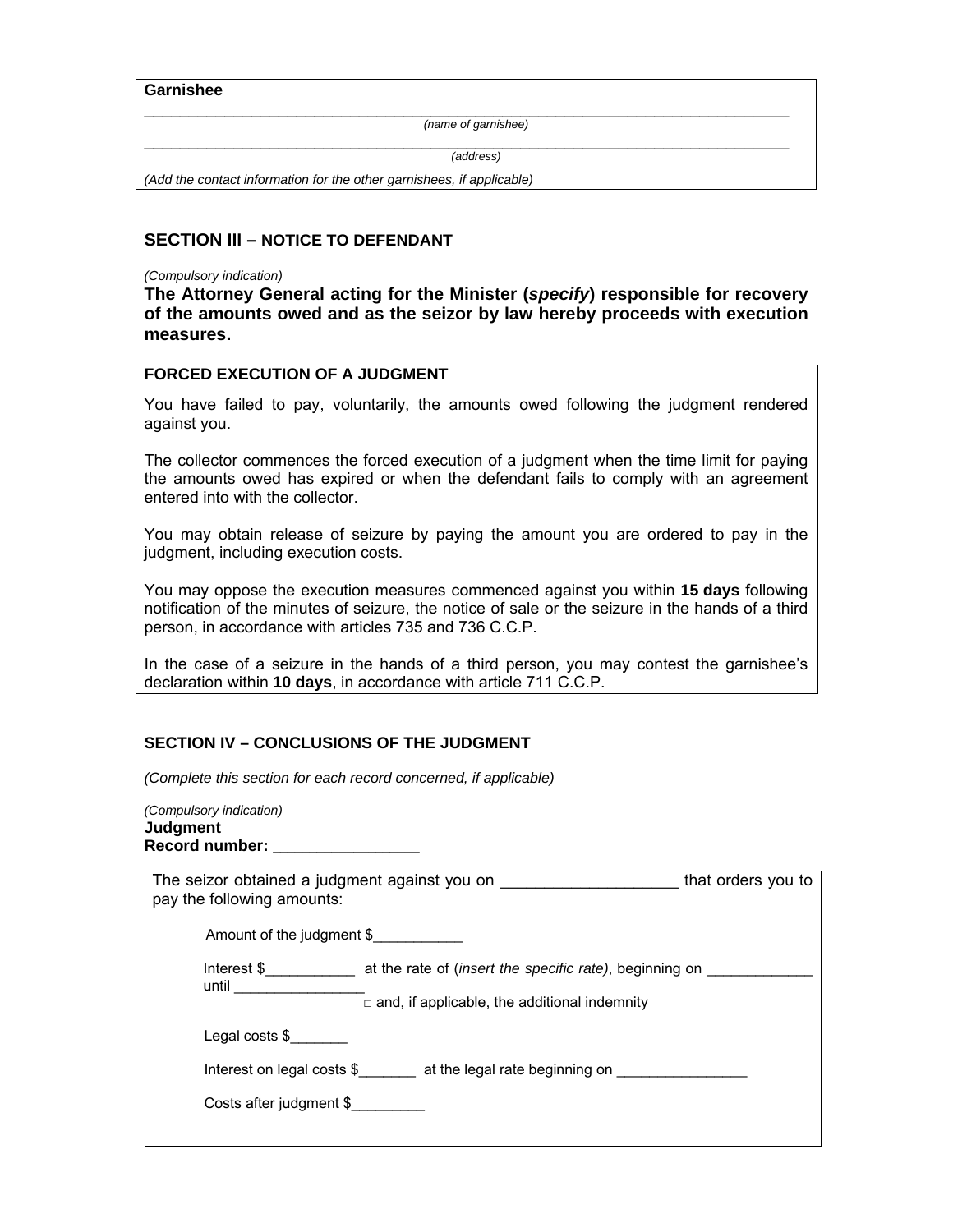#### **Garnishee**

 $\mathcal{L}_\text{G} = \{ \mathcal{L}_\text{G} \mid \mathcal{L}_\text{G} \mid \mathcal{L}_\text{G} \mid \mathcal{L}_\text{G} \mid \mathcal{L}_\text{G} \mid \mathcal{L}_\text{G} \mid \mathcal{L}_\text{G} \mid \mathcal{L}_\text{G} \mid \mathcal{L}_\text{G} \mid \mathcal{L}_\text{G} \mid \mathcal{L}_\text{G} \mid \mathcal{L}_\text{G} \mid \mathcal{L}_\text{G} \mid \mathcal{L}_\text{G} \mid \mathcal{L}_\text{G} \mid \mathcal{L}_\text{G}$ *(name of garnishee)*

 $\mathcal{L}_\text{G} = \{ \mathcal{L}_\text{G} \mid \mathcal{L}_\text{G} \mid \mathcal{L}_\text{G} \mid \mathcal{L}_\text{G} \mid \mathcal{L}_\text{G} \mid \mathcal{L}_\text{G} \mid \mathcal{L}_\text{G} \mid \mathcal{L}_\text{G} \mid \mathcal{L}_\text{G} \mid \mathcal{L}_\text{G} \mid \mathcal{L}_\text{G} \mid \mathcal{L}_\text{G} \mid \mathcal{L}_\text{G} \mid \mathcal{L}_\text{G} \mid \mathcal{L}_\text{G} \mid \mathcal{L}_\text{G}$ *(address)*

*(Add the contact information for the other garnishees, if applicable)* 

## **SECTION III – NOTICE TO DEFENDANT**

#### *(Compulsory indication)*

**The Attorney General acting for the Minister (***specify***) responsible for recovery of the amounts owed and as the seizor by law hereby proceeds with execution measures.** 

## **FORCED EXECUTION OF A JUDGMENT**

You have failed to pay, voluntarily, the amounts owed following the judgment rendered against you.

The collector commences the forced execution of a judgment when the time limit for paying the amounts owed has expired or when the defendant fails to comply with an agreement entered into with the collector.

You may obtain release of seizure by paying the amount you are ordered to pay in the judgment, including execution costs.

You may oppose the execution measures commenced against you within **15 days** following notification of the minutes of seizure, the notice of sale or the seizure in the hands of a third person, in accordance with articles 735 and 736 C.C.P.

In the case of a seizure in the hands of a third person, you may contest the garnishee's declaration within **10 days**, in accordance with article 711 C.C.P.

## **SECTION IV – CONCLUSIONS OF THE JUDGMENT**

*(Complete this section for each record concerned, if applicable)*

*(Compulsory indication)*  **Judgment Record number: \_\_\_\_\_\_\_\_\_\_\_\_\_\_\_\_\_\_\_\_**

| The seizor obtained a judgment against you on<br>that orders you to<br>pay the following amounts: |                                                     |  |
|---------------------------------------------------------------------------------------------------|-----------------------------------------------------|--|
| Amount of the judgment \$                                                                         |                                                     |  |
| until                                                                                             |                                                     |  |
|                                                                                                   | $\Box$ and, if applicable, the additional indemnity |  |
| Legal costs \$                                                                                    |                                                     |  |
| Interest on legal costs $\$\$ at the legal rate beginning on                                      |                                                     |  |
| Costs after judgment \$                                                                           |                                                     |  |
|                                                                                                   |                                                     |  |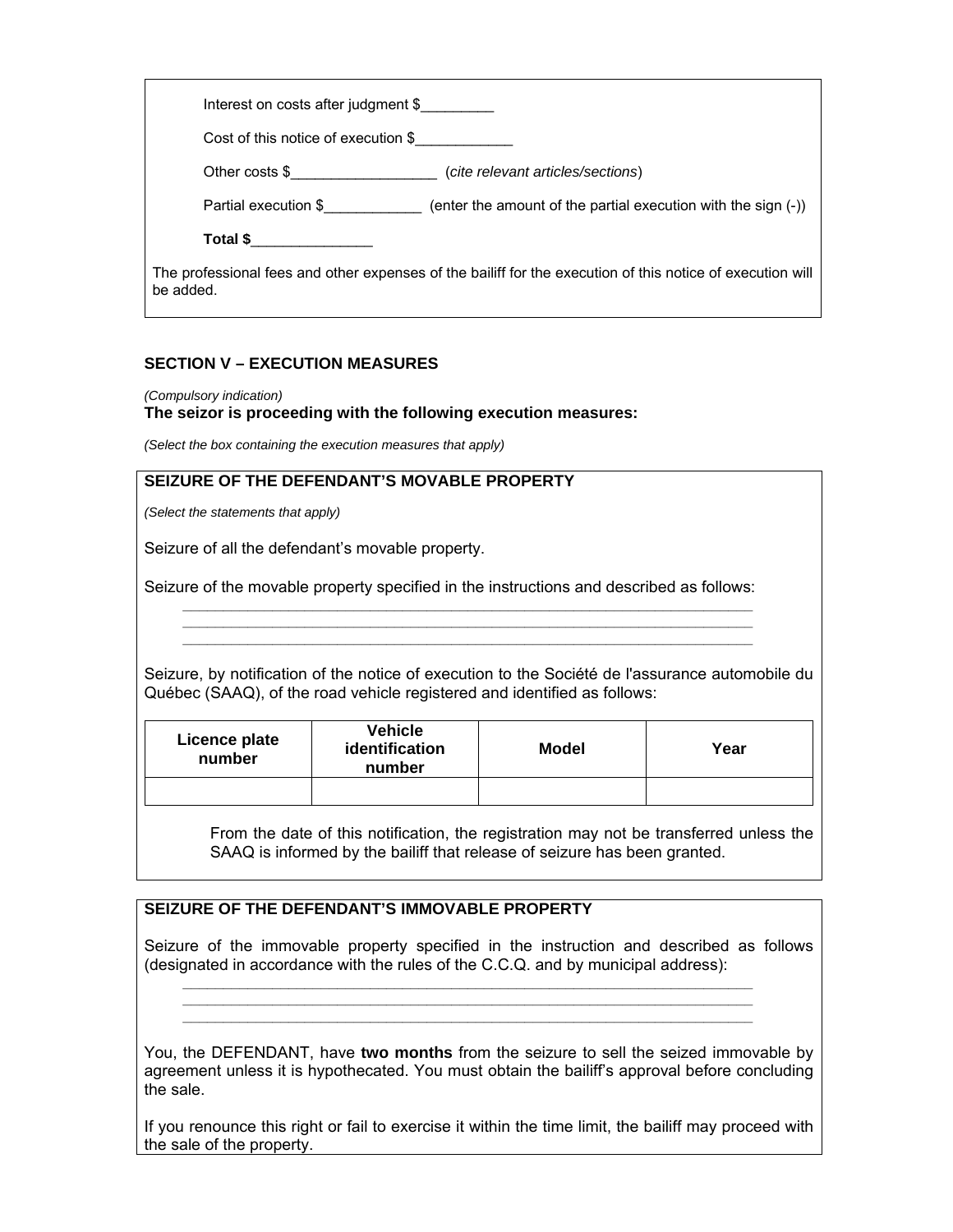| Interest on costs after judgment \$                                                                                     |  |
|-------------------------------------------------------------------------------------------------------------------------|--|
| Cost of this notice of execution \$                                                                                     |  |
| Other costs \$<br>(cite relevant articles/sections)                                                                     |  |
| Partial execution \$<br>(enter the amount of the partial execution with the sign (-))                                   |  |
| Total \$                                                                                                                |  |
| The professional fees and other expenses of the bailiff for the execution of this notice of execution will<br>be added. |  |

## **SECTION V – EXECUTION MEASURES**

*(Compulsory indication)* 

#### **The seizor is proceeding with the following execution measures:**

*(Select the box containing the execution measures that apply)*

# **SEIZURE OF THE DEFENDANT'S MOVABLE PROPERTY**

*(Select the statements that apply)*

Seizure of all the defendant's movable property.

Seizure of the movable property specified in the instructions and described as follows:

Seizure, by notification of the notice of execution to the Société de l'assurance automobile du Québec (SAAQ), of the road vehicle registered and identified as follows:

*\_\_\_\_\_\_\_\_\_\_\_\_\_\_\_\_\_\_\_\_\_\_\_\_\_\_\_\_\_\_\_\_\_\_\_\_\_\_\_\_\_\_\_\_\_\_\_\_\_\_\_\_\_\_\_\_\_\_\_\_\_\_\_\_\_\_\_\_\_\_ \_\_\_\_\_\_\_\_\_\_\_\_\_\_\_\_\_\_\_\_\_\_\_\_\_\_\_\_\_\_\_\_\_\_\_\_\_\_\_\_\_\_\_\_\_\_\_\_\_\_\_\_\_\_\_\_\_\_\_\_\_\_\_\_\_\_\_\_\_\_ \_\_\_\_\_\_\_\_\_\_\_\_\_\_\_\_\_\_\_\_\_\_\_\_\_\_\_\_\_\_\_\_\_\_\_\_\_\_\_\_\_\_\_\_\_\_\_\_\_\_\_\_\_\_\_\_\_\_\_\_\_\_\_\_\_\_\_\_\_\_* 

| Licence plate<br>number | <b>Vehicle</b><br>identification<br>number | <b>Model</b> | Year |
|-------------------------|--------------------------------------------|--------------|------|
|                         |                                            |              |      |

From the date of this notification, the registration may not be transferred unless the SAAQ is informed by the bailiff that release of seizure has been granted.

# **SEIZURE OF THE DEFENDANT'S IMMOVABLE PROPERTY**

Seizure of the immovable property specified in the instruction and described as follows (designated in accordance with the rules of the C.C.Q. and by municipal address):

*\_\_\_\_\_\_\_\_\_\_\_\_\_\_\_\_\_\_\_\_\_\_\_\_\_\_\_\_\_\_\_\_\_\_\_\_\_\_\_\_\_\_\_\_\_\_\_\_\_\_\_\_\_\_\_\_\_\_\_\_\_\_\_\_\_\_\_\_\_\_ \_\_\_\_\_\_\_\_\_\_\_\_\_\_\_\_\_\_\_\_\_\_\_\_\_\_\_\_\_\_\_\_\_\_\_\_\_\_\_\_\_\_\_\_\_\_\_\_\_\_\_\_\_\_\_\_\_\_\_\_\_\_\_\_\_\_\_\_\_\_ \_\_\_\_\_\_\_\_\_\_\_\_\_\_\_\_\_\_\_\_\_\_\_\_\_\_\_\_\_\_\_\_\_\_\_\_\_\_\_\_\_\_\_\_\_\_\_\_\_\_\_\_\_\_\_\_\_\_\_\_\_\_\_\_\_\_\_\_\_\_* 

You, the DEFENDANT, have **two months** from the seizure to sell the seized immovable by agreement unless it is hypothecated. You must obtain the bailiff's approval before concluding the sale.

If you renounce this right or fail to exercise it within the time limit, the bailiff may proceed with the sale of the property.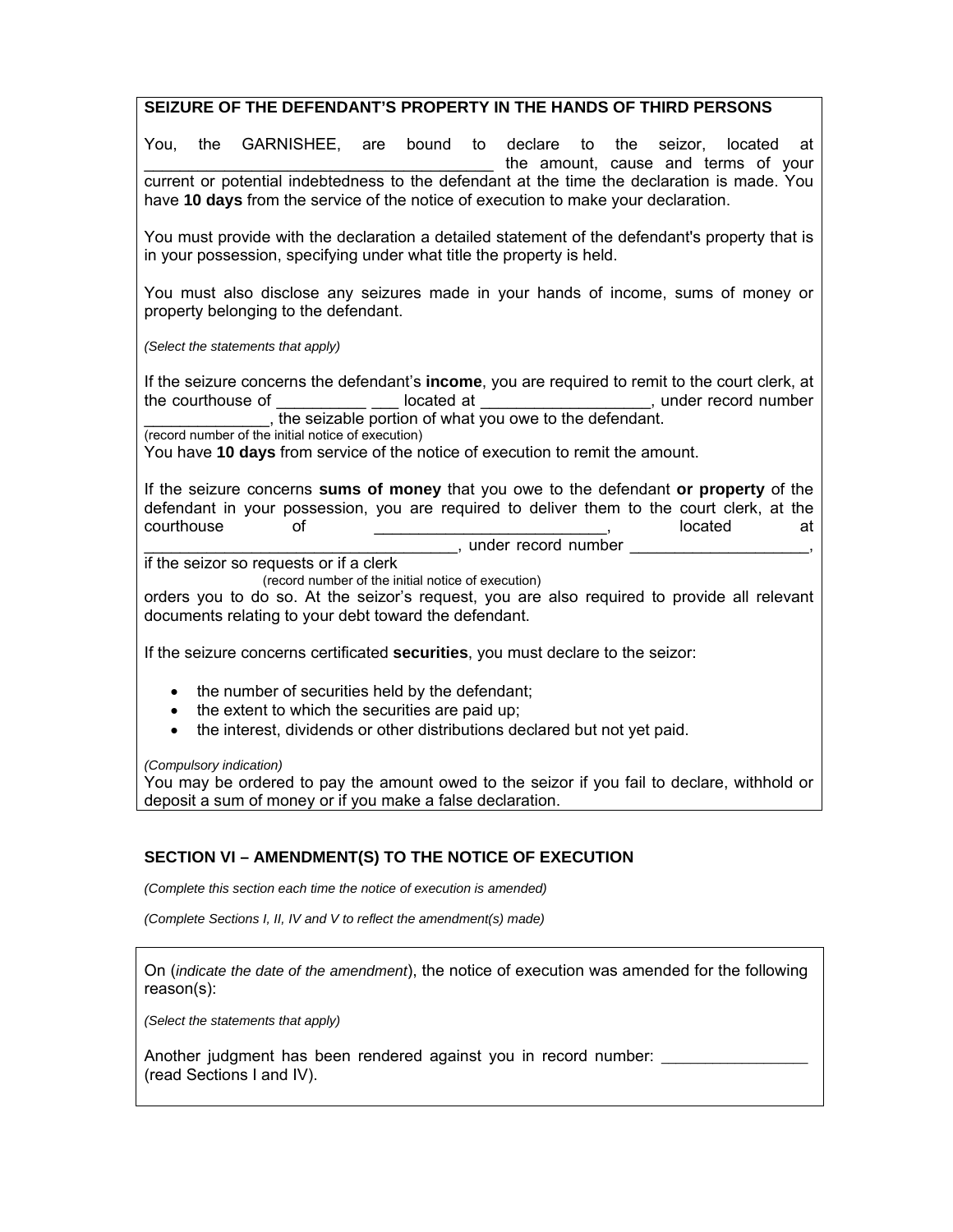## **SEIZURE OF THE DEFENDANT'S PROPERTY IN THE HANDS OF THIRD PERSONS**

You, the GARNISHEE, are bound to declare to the seizor, located at the amount, cause and terms of your current or potential indebtedness to the defendant at the time the declaration is made. You have **10 days** from the service of the notice of execution to make your declaration.

You must provide with the declaration a detailed statement of the defendant's property that is in your possession, specifying under what title the property is held.

You must also disclose any seizures made in your hands of income, sums of money or property belonging to the defendant.

*(Select the statements that apply)* 

If the seizure concerns the defendant's **income**, you are required to remit to the court clerk, at the courthouse of \_\_\_\_\_\_\_\_\_\_\_\_\_\_\_ located at \_\_\_\_\_\_\_\_\_\_\_\_\_\_\_\_\_, under record number \_\_\_\_\_\_\_\_\_\_\_\_\_\_, the seizable portion of what you owe to the defendant.

(record number of the initial notice of execution)

You have **10 days** from service of the notice of execution to remit the amount.

If the seizure concerns **sums of money** that you owe to the defendant **or property** of the defendant in your possession, you are required to deliver them to the court clerk, at the courthouse of \_\_\_\_\_\_\_\_\_\_\_\_\_\_\_\_\_\_\_\_, located at \_\_\_\_\_\_\_\_\_\_\_\_\_\_\_\_\_\_\_\_\_\_\_\_\_\_\_\_\_\_\_\_\_\_\_, under record number \_\_\_\_\_\_\_\_\_\_\_\_\_\_\_\_\_\_\_\_,

if the seizor so requests or if a clerk

(record number of the initial notice of execution)

orders you to do so. At the seizor's request, you are also required to provide all relevant documents relating to your debt toward the defendant.

If the seizure concerns certificated **securities**, you must declare to the seizor:

- the number of securities held by the defendant;
- $\bullet$  the extent to which the securities are paid up;
- the interest, dividends or other distributions declared but not yet paid.

*(Compulsory indication)* 

You may be ordered to pay the amount owed to the seizor if you fail to declare, withhold or deposit a sum of money or if you make a false declaration.

## **SECTION VI – AMENDMENT(S) TO THE NOTICE OF EXECUTION**

*(Complete this section each time the notice of execution is amended)* 

*(Complete Sections I, II, IV and V to reflect the amendment(s) made)* 

On (*indicate the date of the amendment*), the notice of execution was amended for the following reason(s):

*(Select the statements that apply)* 

Another judgment has been rendered against you in record number: (read Sections I and IV).